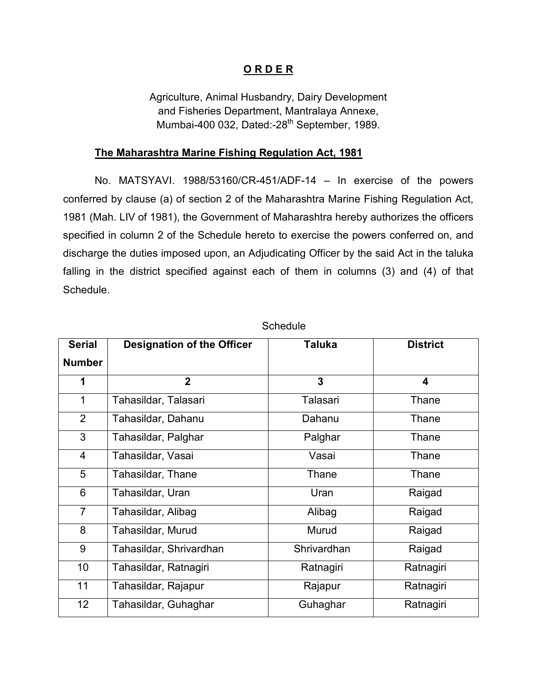## **O R D E R**

 Agriculture, Animal Husbandry, Dairy Development and Fisheries Department, Mantralaya Annexe, Mumbai-400 032, Dated:-28<sup>th</sup> September, 1989.

## **The Maharashtra Marine Fishing Regulation Act, 1981**

No. MATSYAVI. 1988/53160/CR-451/ADF-14 – In exercise of the powers conferred by clause (a) of section 2 of the Maharashtra Marine Fishing Regulation Act, 1981 (Mah. LIV of 1981), the Government of Maharashtra hereby authorizes the officers specified in column 2 of the Schedule hereto to exercise the powers conferred on, and discharge the duties imposed upon, an Adjudicating Officer by the said Act in the taluka falling in the district specified against each of them in columns (3) and (4) of that Schedule.

| <b>Serial</b>   | <b>Designation of the Officer</b> | Taluka      | <b>District</b>         |
|-----------------|-----------------------------------|-------------|-------------------------|
| <b>Number</b>   |                                   |             |                         |
| 1               | $\overline{2}$                    | 3           | $\overline{\mathbf{4}}$ |
| 1               | Tahasildar, Talasari              | Talasari    | Thane                   |
| 2               | Tahasildar, Dahanu                | Dahanu      | Thane                   |
| 3               | Tahasildar, Palghar               | Palghar     | Thane                   |
| $\overline{4}$  | Tahasildar, Vasai                 | Vasai       | Thane                   |
| 5               | Tahasildar, Thane                 | Thane       | Thane                   |
| 6               | Tahasildar, Uran                  | Uran        | Raigad                  |
| $\overline{7}$  | Tahasildar, Alibag                | Alibag      | Raigad                  |
| 8               | Tahasildar, Murud                 | Murud       | Raigad                  |
| 9               | Tahasildar, Shrivardhan           | Shrivardhan | Raigad                  |
| 10              | Tahasildar, Ratnagiri             | Ratnagiri   | Ratnagiri               |
| 11              | Tahasildar, Rajapur               | Rajapur     | Ratnagiri               |
| 12 <sub>2</sub> | Tahasildar, Guhaghar              | Guhaghar    | Ratnagiri               |

**Schedule**